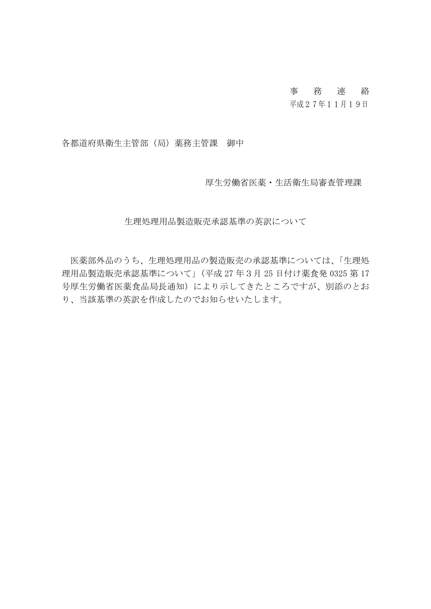# 事務連絡

## 平成27年11月19日

各都道府県衛生主管部(局)薬務主管課 御中

厚生労働省医薬・生活衛生局審査管理課

生理処理用品製造販売承認基準の英訳について

医薬部外品のうち、生理処理用品の製造販売の承認基準については、「生理処 理用品製造販売承認基準について」(平成 27 年3月 25 日付け薬食発 0325 第 17 号厚生労働省医薬食品局長通知)により示してきたところですが、別添のとお り、当該基準の英訳を作成したのでお知らせいたします。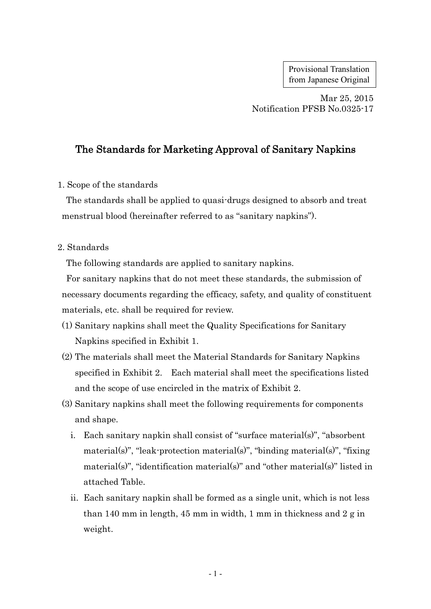Provisional Translation from Japanese Original

Mar 25, 2015 Notification PFSB No.0325-17

# The Standards for Marketing Approval of Sanitary Napkins

1. Scope of the standards

The standards shall be applied to quasi-drugs designed to absorb and treat menstrual blood (hereinafter referred to as "sanitary napkins").

#### 2. Standards

The following standards are applied to sanitary napkins.

For sanitary napkins that do not meet these standards, the submission of necessary documents regarding the efficacy, safety, and quality of constituent materials, etc. shall be required for review.

- (1) Sanitary napkins shall meet the Quality Specifications for Sanitary Napkins specified in Exhibit 1.
- (2) The materials shall meet the Material Standards for Sanitary Napkins specified in Exhibit 2. Each material shall meet the specifications listed and the scope of use encircled in the matrix of Exhibit 2.
- (3) Sanitary napkins shall meet the following requirements for components and shape.
	- i. Each sanitary napkin shall consist of "surface material(s)", "absorbent material(s)", "leak-protection material(s)", "binding material(s)", "fixing material(s)", "identification material(s)" and "other material(s)" listed in attached Table.
	- ii. Each sanitary napkin shall be formed as a single unit, which is not less than 140 mm in length, 45 mm in width, 1 mm in thickness and 2 g in weight.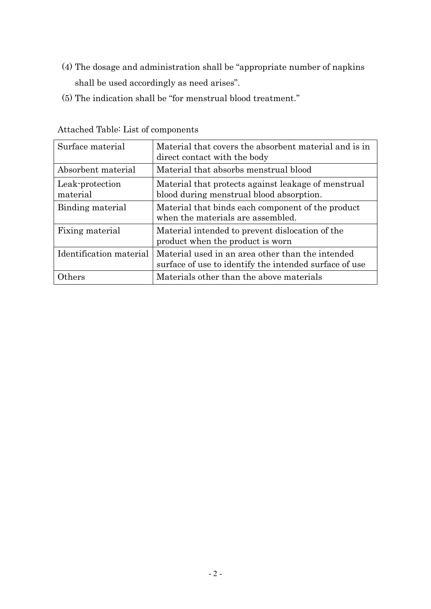- (4) The dosage and administration shall be "appropriate number of napkins shall be used accordingly as need arises".
- (5) The indication shall be "for menstrual blood treatment."

| Surface material            | Material that covers the absorbent material and is in<br>direct contact with the body                      |
|-----------------------------|------------------------------------------------------------------------------------------------------------|
| Absorbent material          | Material that absorbs menstrual blood                                                                      |
| Leak-protection<br>material | Material that protects against leakage of menstrual<br>blood during menstrual blood absorption.            |
| Binding material            | Material that binds each component of the product<br>when the materials are assembled.                     |
| Fixing material             | Material intended to prevent dislocation of the<br>product when the product is worn                        |
| Identification material     | Material used in an area other than the intended<br>surface of use to identify the intended surface of use |
| thers                       | Materials other than the above materials                                                                   |

Attached Table: List of components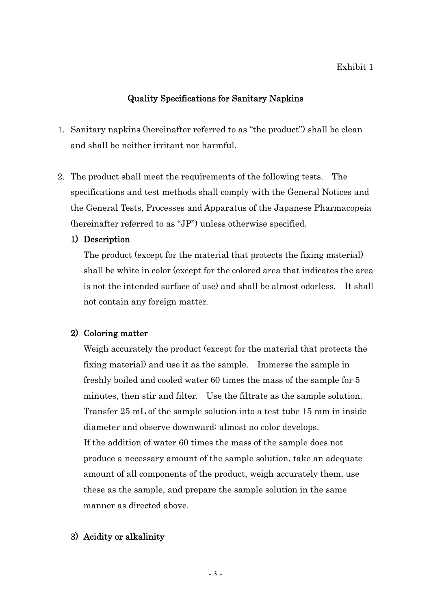#### Exhibit 1

### Quality Specifications for Sanitary Napkins

- 1. Sanitary napkins (hereinafter referred to as "the product") shall be clean and shall be neither irritant nor harmful.
- 2. The product shall meet the requirements of the following tests. The specifications and test methods shall comply with the General Notices and the General Tests, Processes and Apparatus of the Japanese Pharmacopeia (hereinafter referred to as "JP") unless otherwise specified.

#### 1) Description

The product (except for the material that protects the fixing material) shall be white in color (except for the colored area that indicates the area is not the intended surface of use) and shall be almost odorless. It shall not contain any foreign matter.

#### 2) Coloring matter

Weigh accurately the product (except for the material that protects the fixing material) and use it as the sample. Immerse the sample in freshly boiled and cooled water 60 times the mass of the sample for 5 minutes, then stir and filter. Use the filtrate as the sample solution. Transfer 25 mL of the sample solution into a test tube 15 mm in inside diameter and observe downward: almost no color develops. If the addition of water 60 times the mass of the sample does not produce a necessary amount of the sample solution, take an adequate amount of all components of the product, weigh accurately them, use these as the sample, and prepare the sample solution in the same manner as directed above.

#### 3) Acidity or alkalinity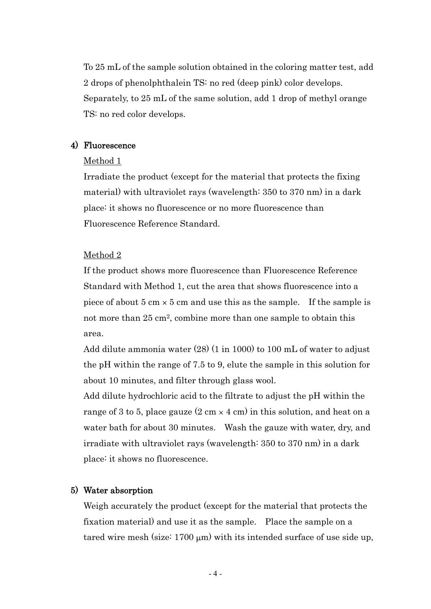To 25 mL of the sample solution obtained in the coloring matter test, add 2 drops of phenolphthalein TS: no red (deep pink) color develops. Separately, to 25 mL of the same solution, add 1 drop of methyl orange TS: no red color develops.

#### 4) Fluorescence

#### Method 1

Irradiate the product (except for the material that protects the fixing material) with ultraviolet rays (wavelength: 350 to 370 nm) in a dark place: it shows no fluorescence or no more fluorescence than Fluorescence Reference Standard.

#### Method 2

If the product shows more fluorescence than Fluorescence Reference Standard with Method 1, cut the area that shows fluorescence into a piece of about 5 cm  $\times$  5 cm and use this as the sample. If the sample is not more than 25 cm2, combine more than one sample to obtain this area.

Add dilute ammonia water (28) (1 in 1000) to 100 mL of water to adjust the pH within the range of 7.5 to 9, elute the sample in this solution for about 10 minutes, and filter through glass wool.

Add dilute hydrochloric acid to the filtrate to adjust the pH within the range of 3 to 5, place gauze  $(2 \text{ cm} \times 4 \text{ cm})$  in this solution, and heat on a water bath for about 30 minutes. Wash the gauze with water, dry, and irradiate with ultraviolet rays (wavelength: 350 to 370 nm) in a dark place: it shows no fluorescence.

#### 5) Water absorption

Weigh accurately the product (except for the material that protects the fixation material) and use it as the sample. Place the sample on a tared wire mesh (size:  $1700 \mu m$ ) with its intended surface of use side up,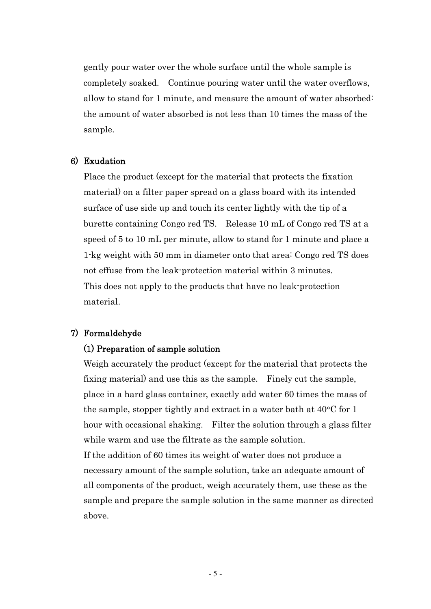gently pour water over the whole surface until the whole sample is completely soaked. Continue pouring water until the water overflows, allow to stand for 1 minute, and measure the amount of water absorbed: the amount of water absorbed is not less than 10 times the mass of the sample.

#### 6) Exudation

Place the product (except for the material that protects the fixation material) on a filter paper spread on a glass board with its intended surface of use side up and touch its center lightly with the tip of a burette containing Congo red TS. Release 10 mL of Congo red TS at a speed of 5 to 10 mL per minute, allow to stand for 1 minute and place a 1-kg weight with 50 mm in diameter onto that area: Congo red TS does not effuse from the leak-protection material within 3 minutes. This does not apply to the products that have no leak-protection material.

#### 7) Formaldehyde

#### (1) Preparation of sample solution

Weigh accurately the product (except for the material that protects the fixing material) and use this as the sample. Finely cut the sample, place in a hard glass container, exactly add water 60 times the mass of the sample, stopper tightly and extract in a water bath at  $40^{\circ}$ C for 1 hour with occasional shaking. Filter the solution through a glass filter while warm and use the filtrate as the sample solution. If the addition of 60 times its weight of water does not produce a necessary amount of the sample solution, take an adequate amount of all components of the product, weigh accurately them, use these as the sample and prepare the sample solution in the same manner as directed above.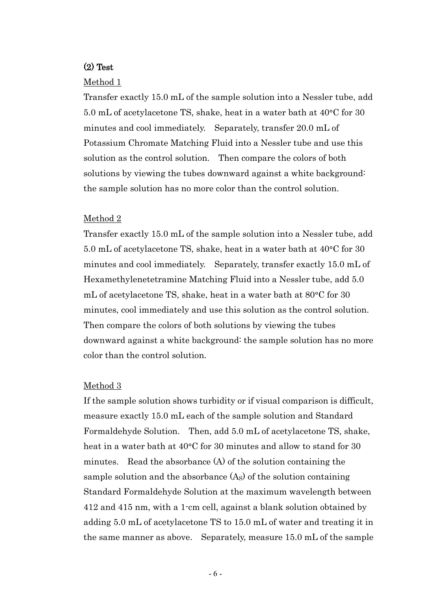### (2) Test

#### Method 1

Transfer exactly 15.0 mL of the sample solution into a Nessler tube, add 5.0 mL of acetylacetone TS, shake, heat in a water bath at 40°C for 30 minutes and cool immediately. Separately, transfer 20.0 mL of Potassium Chromate Matching Fluid into a Nessler tube and use this solution as the control solution. Then compare the colors of both solutions by viewing the tubes downward against a white background: the sample solution has no more color than the control solution.

#### Method 2

Transfer exactly 15.0 mL of the sample solution into a Nessler tube, add 5.0 mL of acetylacetone TS, shake, heat in a water bath at  $40^{\circ}$ C for 30 minutes and cool immediately. Separately, transfer exactly 15.0 mL of Hexamethylenetetramine Matching Fluid into a Nessler tube, add 5.0 mL of acetylacetone TS, shake, heat in a water bath at 80°C for 30 minutes, cool immediately and use this solution as the control solution. Then compare the colors of both solutions by viewing the tubes downward against a white background: the sample solution has no more color than the control solution.

#### Method 3

If the sample solution shows turbidity or if visual comparison is difficult, measure exactly 15.0 mL each of the sample solution and Standard Formaldehyde Solution. Then, add 5.0 mL of acetylacetone TS, shake, heat in a water bath at 40°C for 30 minutes and allow to stand for 30 minutes. Read the absorbance (A) of the solution containing the sample solution and the absorbance  $(A<sub>S</sub>)$  of the solution containing Standard Formaldehyde Solution at the maximum wavelength between 412 and 415 nm, with a 1-cm cell, against a blank solution obtained by adding 5.0 mL of acetylacetone TS to 15.0 mL of water and treating it in the same manner as above. Separately, measure 15.0 mL of the sample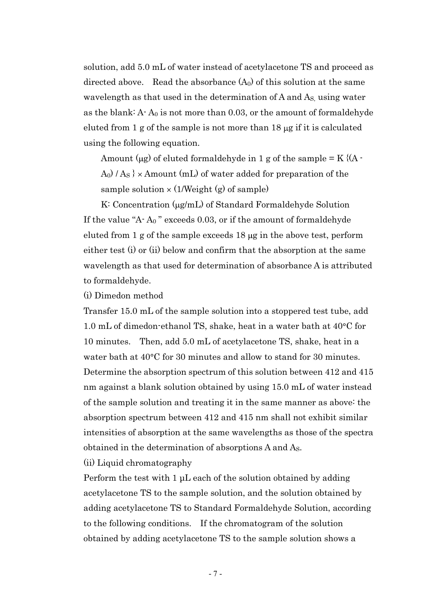solution, add 5.0 mL of water instead of acetylacetone TS and proceed as directed above. Read the absorbance  $(A_0)$  of this solution at the same wavelength as that used in the determination of A and AS, using water as the blank:  $A - A_0$  is not more than 0.03, or the amount of formaldehyde eluted from 1 g of the sample is not more than  $18 \mu$ g if it is calculated using the following equation.

Amount ( $\mu$ g) of eluted formaldehyde in 1 g of the sample = K { $(A A_0$  /  $A_s$   $\times$  Amount (mL) of water added for preparation of the sample solution  $\times$  (1/Weight (g) of sample)

K: Concentration  $(\mu g/mL)$  of Standard Formaldehyde Solution If the value "A- A<sup>0</sup> " exceeds 0.03, or if the amount of formaldehyde eluted from  $1$  g of the sample exceeds  $18 \mu$ g in the above test, perform either test (i) or (ii) below and confirm that the absorption at the same wavelength as that used for determination of absorbance A is attributed to formaldehyde.

(i) Dimedon method

Transfer 15.0 mL of the sample solution into a stoppered test tube, add 1.0 mL of dimedon-ethanol TS, shake, heat in a water bath at  $40^{\circ}$ C for 10 minutes. Then, add 5.0 mL of acetylacetone TS, shake, heat in a water bath at  $40^{\circ}$ C for 30 minutes and allow to stand for 30 minutes. Determine the absorption spectrum of this solution between 412 and 415 nm against a blank solution obtained by using 15.0 mL of water instead of the sample solution and treating it in the same manner as above: the absorption spectrum between 412 and 415 nm shall not exhibit similar intensities of absorption at the same wavelengths as those of the spectra obtained in the determination of absorptions A and AS.

(ii) Liquid chromatography

Perform the test with 1 μL each of the solution obtained by adding acetylacetone TS to the sample solution, and the solution obtained by adding acetylacetone TS to Standard Formaldehyde Solution, according to the following conditions. If the chromatogram of the solution obtained by adding acetylacetone TS to the sample solution shows a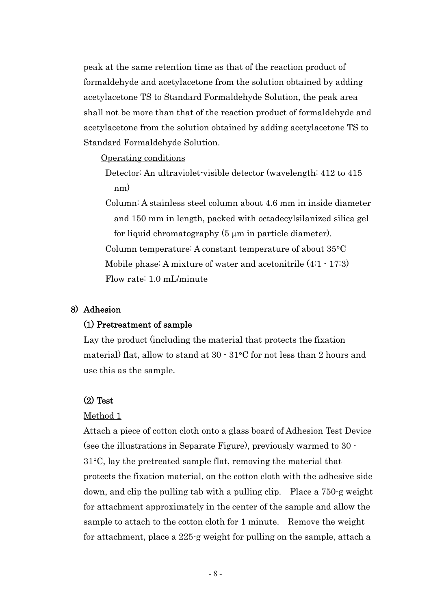peak at the same retention time as that of the reaction product of formaldehyde and acetylacetone from the solution obtained by adding acetylacetone TS to Standard Formaldehyde Solution, the peak area shall not be more than that of the reaction product of formaldehyde and acetylacetone from the solution obtained by adding acetylacetone TS to Standard Formaldehyde Solution.

#### Operating conditions

Detector: An ultraviolet-visible detector (wavelength: 412 to 415 nm)

Column: A stainless steel column about 4.6 mm in inside diameter and 150 mm in length, packed with octadecylsilanized silica gel for liquid chromatography (5 µm in particle diameter). Column temperature: A constant temperature of about  $35^{\circ}$ C Mobile phase: A mixture of water and acetonitrile (4:1 - 17:3) Flow rate: 1.0 mL/minute

#### 8) Adhesion

#### (1) Pretreatment of sample

Lay the product (including the material that protects the fixation material) flat, allow to stand at  $30 \cdot 31$  °C for not less than 2 hours and use this as the sample.

#### (2) Test

#### Method 1

Attach a piece of cotton cloth onto a glass board of Adhesion Test Device (see the illustrations in Separate Figure), previously warmed to 30 -  $31^{\circ}$ C, lay the pretreated sample flat, removing the material that protects the fixation material, on the cotton cloth with the adhesive side down, and clip the pulling tab with a pulling clip. Place a 750-g weight for attachment approximately in the center of the sample and allow the sample to attach to the cotton cloth for 1 minute. Remove the weight for attachment, place a 225-g weight for pulling on the sample, attach a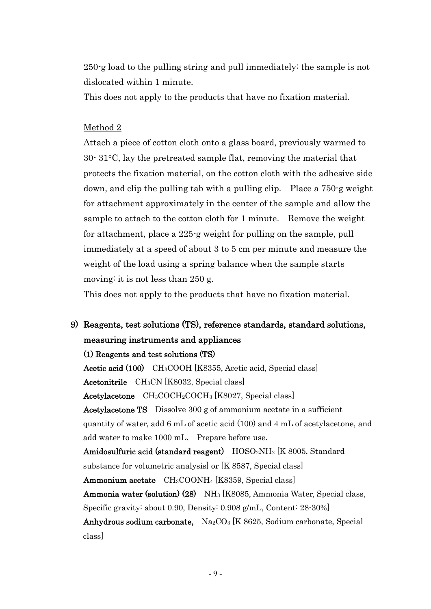250-g load to the pulling string and pull immediately: the sample is not dislocated within 1 minute.

This does not apply to the products that have no fixation material.

### Method 2

Attach a piece of cotton cloth onto a glass board, previously warmed to  $30\cdot 31\textdegree C$ , lay the pretreated sample flat, removing the material that protects the fixation material, on the cotton cloth with the adhesive side down, and clip the pulling tab with a pulling clip. Place a 750-g weight for attachment approximately in the center of the sample and allow the sample to attach to the cotton cloth for 1 minute. Remove the weight for attachment, place a 225-g weight for pulling on the sample, pull immediately at a speed of about 3 to 5 cm per minute and measure the weight of the load using a spring balance when the sample starts moving: it is not less than 250 g.

This does not apply to the products that have no fixation material.

# 9) Reagents, test solutions (TS), reference standards, standard solutions, measuring instruments and appliances

#### (1) Reagents and test solutions (TS)

Acetic acid (100) CH3COOH [K8355, Acetic acid, Special class] Acetonitrile CH3CN [K8032, Special class] Acetylacetone CH<sub>3</sub>COCH<sub>2</sub>COCH<sub>3</sub> [K8027, Special class] Acetylacetone TS Dissolve 300 g of ammonium acetate in a sufficient quantity of water, add 6 mL of acetic acid (100) and 4 mL of acetylacetone, and add water to make 1000 mL. Prepare before use. Amidosulfuric acid (standard reagent)  $HOSO<sub>2</sub>NH<sub>2</sub>$  [K 8005, Standard substance for volumetric analysis] or [K 8587, Special class] Ammonium acetate CH<sub>3</sub>COONH<sub>4</sub> [K8359, Special class] Ammonia water (solution) (28) NH<sup>3</sup> [K8085, Ammonia Water, Special class, Specific gravity: about 0.90, Density: 0.908 g/mL, Content: 28-30%] Anhydrous sodium carbonate,  $Na_2CO_3$  [K 8625, Sodium carbonate, Special

class]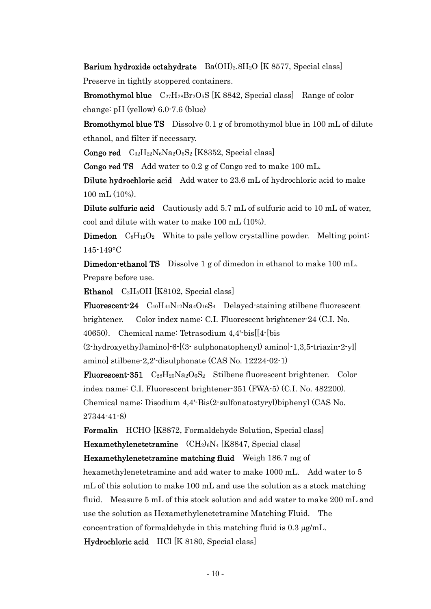Barium hydroxide octahydrate  $Ba(OH)_2.8H_2O$  [K 8577, Special class] Preserve in tightly stoppered containers.

**Bromothymol blue**  $C_{27}H_{28}Br_2O_5S$  [K 8842, Special class] Range of color change: pH (yellow) 6.0-7.6 (blue)

Bromothymol blue TS Dissolve 0.1 g of bromothymol blue in 100 mL of dilute ethanol, and filter if necessary.

**Congo red**  $C_{32}H_{22}N_6N_{82}O_6S_2$  [K8352, Special class]

Congo red TS Add water to 0.2 g of Congo red to make 100 mL.

Dilute hydrochloric acid Add water to 23.6 mL of hydrochloric acid to make 100 mL (10%).

Dilute sulfuric acid Cautiously add 5.7 mL of sulfuric acid to 10 mL of water, cool and dilute with water to make 100 mL (10%).

**Dimedon**  $CsH_{12}O_2$  White to pale yellow crystalline powder. Melting point: 145-149 C

Dimedon-ethanol TS Dissolve 1 g of dimedon in ethanol to make 100 mL. Prepare before use.

Ethanol  $C_2H_5OH$  [K8102, Special class]

**Fluorescent-24**  $C_{40}H_{44}N_{12}Na_4O_{16}S_4$  Delayed-staining stilbene fluorescent brightener. Color index name: C.I. Fluorescent brightener-24 (C.I. No. 40650). Chemical name: Tetrasodium 4,4'-bis[[4-[bis

(2-hydroxyethyl)amino]-6-[(3- sulphonatophenyl) amino]-1,3,5-triazin-2-yl] amino] stilbene-2,2'-disulphonate (CAS No. 12224-02-1)

**Fluorescent-351**  $C_{28}H_{20}Na_2O_6S_2$  Stilbene fluorescent brightener. Color index name: C.I. Fluorescent brightener-351 (FWA-5) (C.I. No. 482200). Chemical name: Disodium 4,4'-Bis(2-sulfonatostyryl)biphenyl (CAS No. 27344-41-8)

Formalin HCHO [K8872, Formaldehyde Solution, Special class] Hexamethylenetetramine  $(CH_2)_6N_4$  [K8847, Special class]

Hexamethylenetetramine matching fluid Weigh 186.7 mg of hexamethylenetetramine and add water to make 1000 mL. Add water to 5 mL of this solution to make 100 mL and use the solution as a stock matching fluid. Measure 5 mL of this stock solution and add water to make 200 mL and use the solution as Hexamethylenetetramine Matching Fluid. The concentration of formaldehyde in this matching fluid is  $0.3 \mu$ g/mL.

Hydrochloric acid HCl [K 8180, Special class]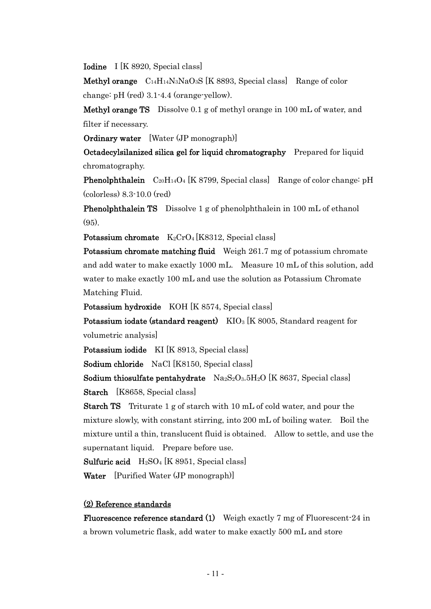Iodine I [K 8920, Special class]

Methyl orange C14H14N3NaO3S [K 8893, Special class] Range of color change: pH (red) 3.1-4.4 (orange-yellow).

Methyl orange TS Dissolve 0.1 g of methyl orange in 100 mL of water, and filter if necessary.

Ordinary water [Water (JP monograph)]

Octadecylsilanized silica gel for liquid chromatography Prepared for liquid chromatography.

**Phenolphthalein**  $C_{20}H_{14}O_4$  [K 8799, Special class] Range of color change: pH (colorless) 8.3-10.0 (red)

Phenolphthalein TS Dissolve 1 g of phenolphthalein in 100 mL of ethanol  $(95)$ .

Potassium chromate  $K_2CrO_4[K8312, Special class]$ 

Potassium chromate matching fluid Weigh 261.7 mg of potassium chromate and add water to make exactly 1000 mL. Measure 10 mL of this solution, add water to make exactly 100 mL and use the solution as Potassium Chromate Matching Fluid.

Potassium hydroxide KOH [K 8574, Special class]

Potassium iodate (standard reagent)  $KIO<sub>3</sub>$  [K 8005, Standard reagent for volumetric analysis]

Potassium iodide KI [K 8913, Special class]

Sodium chloride NaCl [K8150, Special class]

Sodium thiosulfate pentahydrate  $Na_2S_2O_3.5H_2O$  [K 8637, Special class]

Starch [K8658, Special class]

Starch TS Triturate 1 g of starch with 10 mL of cold water, and pour the mixture slowly, with constant stirring, into 200 mL of boiling water. Boil the mixture until a thin, translucent fluid is obtained. Allow to settle, and use the supernatant liquid. Prepare before use.

Sulfuric acid H2SO<sup>4</sup> [K 8951, Special class]

Water [Purified Water (JP monograph)]

#### (2) Reference standards

Fluorescence reference standard (1) Weigh exactly 7 mg of Fluorescent-24 in a brown volumetric flask, add water to make exactly 500 mL and store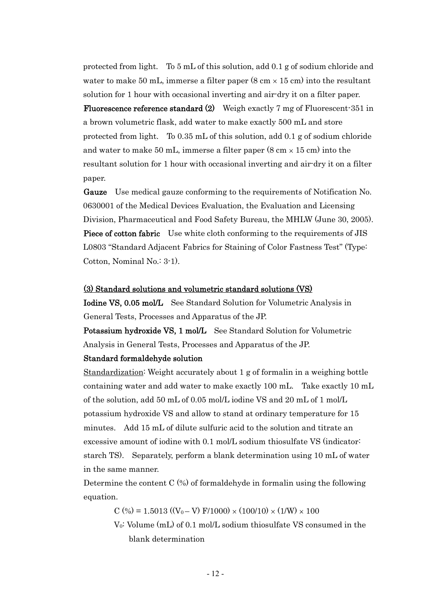protected from light. To 5 mL of this solution, add 0.1 g of sodium chloride and water to make 50 mL, immerse a filter paper  $(8 \text{ cm} \times 15 \text{ cm})$  into the resultant solution for 1 hour with occasional inverting and air-dry it on a filter paper.

Fluorescence reference standard (2) Weigh exactly 7 mg of Fluorescent-351 in a brown volumetric flask, add water to make exactly 500 mL and store protected from light. To 0.35 mL of this solution, add 0.1 g of sodium chloride and water to make 50 mL, immerse a filter paper  $(8 \text{ cm} \times 15 \text{ cm})$  into the resultant solution for 1 hour with occasional inverting and air-dry it on a filter paper.

Gauze Use medical gauze conforming to the requirements of Notification No. 0630001 of the Medical Devices Evaluation, the Evaluation and Licensing Division, Pharmaceutical and Food Safety Bureau, the MHLW (June 30, 2005). Piece of cotton fabric Use white cloth conforming to the requirements of JIS L0803 "Standard Adjacent Fabrics for Staining of Color Fastness Test" (Type: Cotton, Nominal No.: 3-1).

#### (3) Standard solutions and volumetric standard solutions (VS)

Iodine VS, 0.05 mol/L See Standard Solution for Volumetric Analysis in General Tests, Processes and Apparatus of the JP.

Potassium hydroxide VS, 1 mol/L See Standard Solution for Volumetric Analysis in General Tests, Processes and Apparatus of the JP.

#### Standard formaldehyde solution

Standardization: Weight accurately about 1 g of formalin in a weighing bottle containing water and add water to make exactly 100 mL. Take exactly 10 mL of the solution, add 50 mL of 0.05 mol/L iodine VS and 20 mL of 1 mol/L potassium hydroxide VS and allow to stand at ordinary temperature for 15 minutes. Add 15 mL of dilute sulfuric acid to the solution and titrate an excessive amount of iodine with 0.1 mol/L sodium thiosulfate VS (indicator: starch TS). Separately, perform a blank determination using 10 mL of water in the same manner.

Determine the content  $C$  (%) of formaldehyde in formalin using the following equation.

 $C (%) = 1.5013 ((V_0 - V) F/1000) \times (100/10) \times (1/W) \times 100$ 

V0: Volume (mL) of 0.1 mol/L sodium thiosulfate VS consumed in the blank determination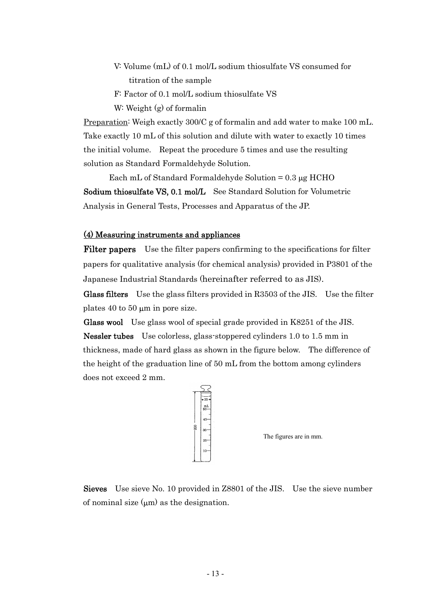- V: Volume (mL) of 0.1 mol/L sodium thiosulfate VS consumed for titration of the sample
- F: Factor of 0.1 mol/L sodium thiosulfate VS
- W: Weight (g) of formalin

Preparation<sup>:</sup> Weigh exactly 300/C g of formalin and add water to make 100 mL. Take exactly 10 mL of this solution and dilute with water to exactly 10 times the initial volume. Repeat the procedure 5 times and use the resulting solution as Standard Formaldehyde Solution.

Each mL of Standard Formaldehyde Solution  $= 0.3 \mu g$  HCHO Sodium thiosulfate VS, 0.1 mol/L See Standard Solution for Volumetric Analysis in General Tests, Processes and Apparatus of the JP.

#### (4) Measuring instruments and appliances

Filter papers Use the filter papers confirming to the specifications for filter papers for qualitative analysis (for chemical analysis) provided in P3801 of the Japanese Industrial Standards (hereinafter referred to as JIS).

Glass filters Use the glass filters provided in R3503 of the JIS. Use the filter plates  $40$  to  $50 \mu m$  in pore size.

Glass wool Use glass wool of special grade provided in K8251 of the JIS. Nessler tubes Use colorless, glass-stoppered cylinders 1.0 to 1.5 mm in thickness, made of hard glass as shown in the figure below. The difference of the height of the graduation line of 50 mL from the bottom among cylinders does not exceed 2 mm.



The figures are in mm.

Sieves Use sieve No. 10 provided in Z8801 of the JIS. Use the sieve number of nominal size  $(\mu m)$  as the designation.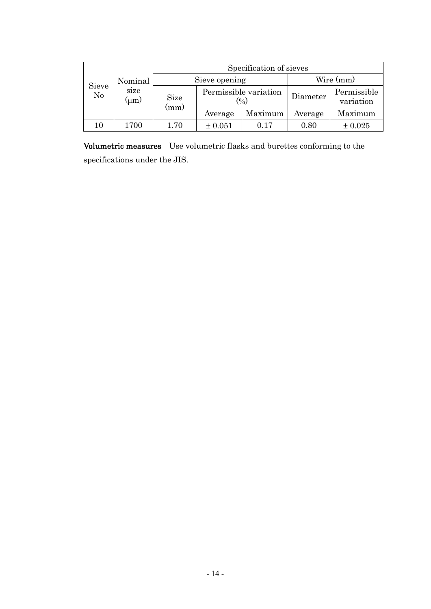| Sieve<br>No |                   | Specification of sieves |                                 |         |          |                          |  |  |
|-------------|-------------------|-------------------------|---------------------------------|---------|----------|--------------------------|--|--|
|             | Nominal           |                         | Sieve opening                   |         |          | Wire (mm)                |  |  |
|             | size<br>$(\mu m)$ | <b>Size</b><br>(mm)     | Permissible variation<br>$(\%)$ |         | Diameter | Permissible<br>variation |  |  |
|             |                   |                         | Average                         | Maximum | Average  | Maximum                  |  |  |
| 10          | 1700              | 1.70                    | ± 0.051                         | 0.17    | 0.80     | $\pm 0.025$              |  |  |

Volumetric measures Use volumetric flasks and burettes conforming to the specifications under the JIS.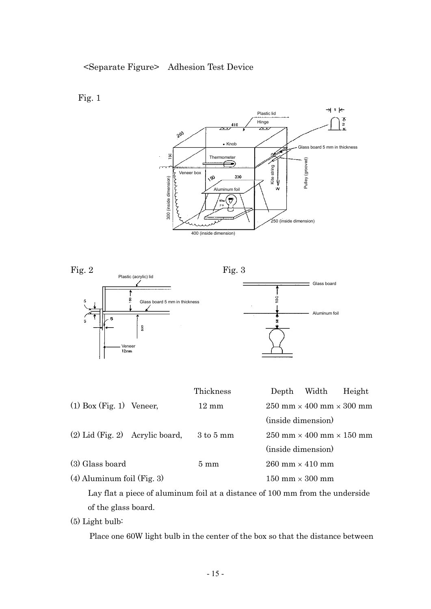





|                                   | Thickness                    | Depth                                  | Width                                                        | Height |  |  |
|-----------------------------------|------------------------------|----------------------------------------|--------------------------------------------------------------|--------|--|--|
| $(1)$ Box (Fig. 1) Veneer,        | $12 \text{ mm}$              |                                        | $250 \text{ mm} \times 400 \text{ mm} \times 300 \text{ mm}$ |        |  |  |
|                                   |                              | (inside dimension)                     |                                                              |        |  |  |
| $(2)$ Lid (Fig. 2) Acrylic board, | $3 \text{ to } 5 \text{ mm}$ |                                        | $250 \text{ mm} \times 400 \text{ mm} \times 150 \text{ mm}$ |        |  |  |
|                                   |                              | (inside dimension)                     |                                                              |        |  |  |
| (3) Glass board                   | $5 \text{ mm}$               | 260 mm $\times$ 410 mm                 |                                                              |        |  |  |
| $(4)$ Aluminum foil (Fig. 3)      |                              | $150 \text{ mm} \times 300 \text{ mm}$ |                                                              |        |  |  |

Lay flat a piece of aluminum foil at a distance of 100 mm from the underside of the glass board.

(5) Light bulb:

Place one 60W light bulb in the center of the box so that the distance between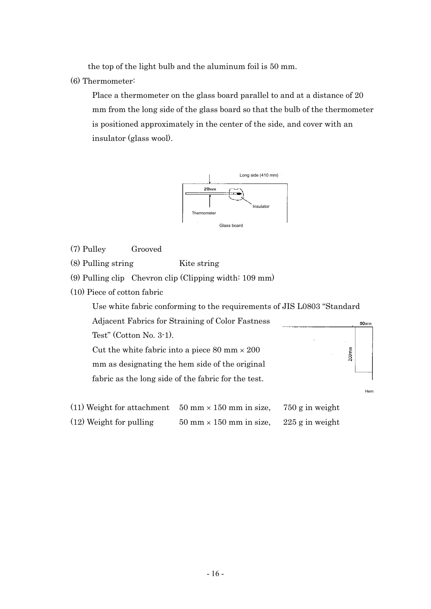the top of the light bulb and the aluminum foil is 50 mm.

(6) Thermometer:

Place a thermometer on the glass board parallel to and at a distance of 20 mm from the long side of the glass board so that the bulb of the thermometer is positioned approximately in the center of the side, and cover with an insulator (glass wool).



- (7) Pulley Grooved
- (8) Pulling string Kite string
- (9) Pulling clip Chevron clip (Clipping width: 109 mm)
- (10) Piece of cotton fabric

Use white fabric conforming to the requirements of JIS L0803 "Standard

Hem

 $80<sub>mm</sub>$ 

 $200$ mm

Adjacent Fabrics for Straining of Color Fastness Test" (Cotton No. 3-1).

Cut the white fabric into a piece 80 mm  $\times$  200 mm as designating the hem side of the original fabric as the long side of the fabric for the test.

| (11) Weight for attachment | $50 \text{ mm} \times 150 \text{ mm}$ in size, | 750 g in weight   |
|----------------------------|------------------------------------------------|-------------------|
| $(12)$ Weight for pulling  | $50 \text{ mm} \times 150 \text{ mm}$ in size, | $225$ g in weight |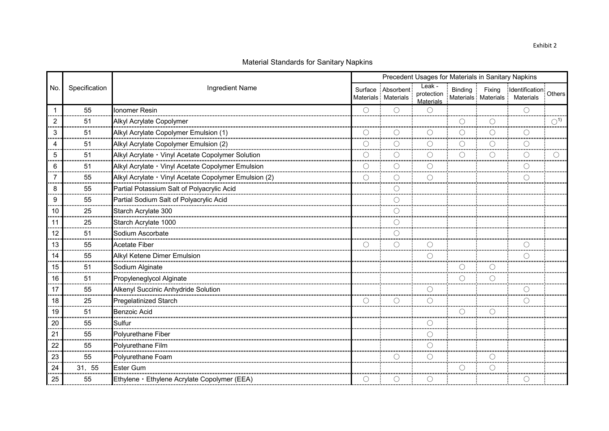|     |               |                                                       |            |                                                     | Precedent Usages for Materials in Sanitary Napkins |            |        |                                                         |                          |
|-----|---------------|-------------------------------------------------------|------------|-----------------------------------------------------|----------------------------------------------------|------------|--------|---------------------------------------------------------|--------------------------|
| No. | Specification | Ingredient Name                                       |            | Surface Absorbent<br>Materials Materials            | Leak -<br>protection<br><b>Materials</b>           | Binding    | Fixing | Identification: Others<br>Materials Materials Materials |                          |
|     | 55            | Ionomer Resin                                         |            | ∩                                                   | $\left(\begin{array}{c} \end{array}\right)$        |            |        |                                                         |                          |
| 2   | 51            | Alkyl Acrylate Copolymer                              |            |                                                     |                                                    |            |        |                                                         | $\bigcirc$ <sup>1)</sup> |
| 3   | 51            | Alkyl Acrylate Copolymer Emulsion (1)                 |            |                                                     |                                                    | $\bigcirc$ |        |                                                         |                          |
|     | 51            | Alkyl Acrylate Copolymer Emulsion (2)                 |            |                                                     |                                                    |            |        |                                                         |                          |
| 5   | 51            | Alkyl Acrylate · Vinyl Acetate Copolymer Solution     | O          |                                                     |                                                    |            |        |                                                         |                          |
|     | 51            | Alkyl Acrylate · Vinyl Acetate Copolymer Emulsion     |            |                                                     |                                                    |            |        |                                                         |                          |
|     | 55            | Alkyl Acrylate · Vinyl Acetate Copolymer Emulsion (2) | $\bigcirc$ | С                                                   |                                                    |            |        |                                                         |                          |
| 8   | 55            | Partial Potassium Salt of Polyacrylic Acid            |            | ()                                                  |                                                    |            |        |                                                         |                          |
| 9   | 55            | Partial Sodium Salt of Polyacrylic Acid               |            |                                                     |                                                    |            |        |                                                         |                          |
| 10  | 25            | Starch Acrylate 300                                   |            | ∩                                                   |                                                    |            |        |                                                         |                          |
| 11  | 25            | Starch Acrylate 1000                                  |            | ◯                                                   |                                                    |            |        |                                                         |                          |
| 12  | 51            | Sodium Ascorbate                                      |            |                                                     |                                                    |            |        |                                                         |                          |
| 13  | 55            | <b>Acetate Fiber</b>                                  |            | О                                                   |                                                    |            |        |                                                         |                          |
| 14  | 55            | Alkyl Ketene Dimer Emulsion                           |            |                                                     |                                                    |            |        |                                                         |                          |
| 15  | 51            | Sodium Alginate                                       |            |                                                     |                                                    | ∩          |        |                                                         |                          |
| 16  | 51            | Propyleneglycol Alginate                              |            |                                                     |                                                    | O          |        |                                                         |                          |
| 17  | 55            | Alkenyl Succinic Anhydride Solution                   |            |                                                     |                                                    |            |        |                                                         |                          |
| 18  | 25            | Pregelatinized Starch                                 |            | С                                                   |                                                    |            |        |                                                         |                          |
| 19  | 51            | <b>Benzoic Acid</b>                                   |            |                                                     |                                                    |            |        |                                                         |                          |
| 20  | 55            | Sulfur                                                |            |                                                     |                                                    |            |        |                                                         |                          |
| 21  | 55            | Polyurethane Fiber                                    |            |                                                     |                                                    |            |        |                                                         |                          |
| 22  | 55            | Polyurethane Film                                     |            |                                                     | .                                                  |            |        |                                                         |                          |
| 23  | 55            | Polyurethane Foam                                     |            | $\left( \begin{array}{c} \cdot \end{array} \right)$ |                                                    |            |        |                                                         |                          |
| 24  | 31, 55        | <b>Ester Gum</b>                                      |            |                                                     |                                                    |            |        |                                                         |                          |
| 25  | 55            | Ethylene · Ethylene Acrylate Copolymer (EEA)          |            | O                                                   | ()                                                 |            |        |                                                         |                          |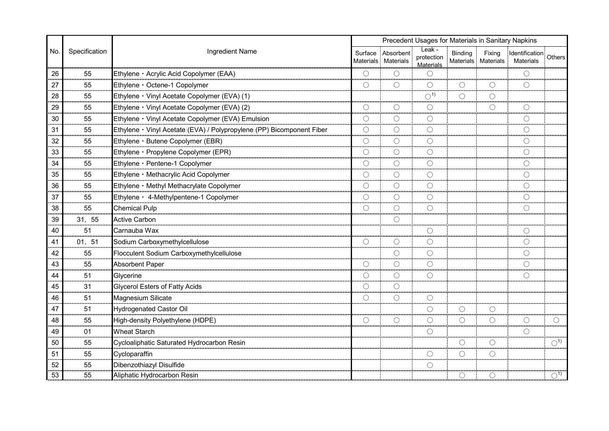|     |               | Precedent Usages for Materials in Sanitary Napkins                    |                 |                                          |                                          |                 |                               |                                     |                          |  |
|-----|---------------|-----------------------------------------------------------------------|-----------------|------------------------------------------|------------------------------------------|-----------------|-------------------------------|-------------------------------------|--------------------------|--|
| No. | Specification | Ingredient Name                                                       |                 | Surface Absorbent<br>Materials Materials | Leak -<br>protection<br><b>Materials</b> | <b>Binding</b>  | Fixing<br>Materials Materials | Identification: Others<br>Materials |                          |  |
| 26  | 55            | Ethylene · Acrylic Acid Copolymer (EAA)                               |                 | O                                        | ( )                                      |                 |                               |                                     |                          |  |
| 27  | 55            | Ethylene · Octene-1 Copolymer                                         | ◯               | ∩                                        | ∩                                        | $\left(\right)$ |                               |                                     |                          |  |
| 28  | 55            | Ethylene · Vinyl Acetate Copolymer (EVA) (1)                          |                 |                                          | $\bigcirc$ <sup>1)</sup>                 |                 |                               |                                     |                          |  |
| 29  | 55            | Ethylene · Vinyl Acetate Copolymer (EVA) (2)                          | ∩               |                                          | ∩                                        |                 |                               |                                     |                          |  |
| 30  | 55            | Ethylene · Vinyl Acetate Copolymer (EVA) Emulsion                     | ∩               | ⌒                                        |                                          |                 |                               |                                     |                          |  |
| 31  | 55            | Ethylene · Vinyl Acetate (EVA) / Polypropylene (PP) Bicomponent Fiber | ∩               |                                          |                                          |                 |                               |                                     |                          |  |
| 32  | 55            | Ethylene · Butene Copolymer (EBR)                                     | ( )             | ∩                                        | $\left(\right)$                          |                 |                               |                                     |                          |  |
| 33  | 55            | Ethylene · Propylene Copolymer (EPR)                                  | ◯               | O                                        | O                                        |                 |                               |                                     |                          |  |
| 34  | 55            | Ethylene · Pentene-1 Copolymer                                        | ∩               |                                          | ◯                                        |                 |                               |                                     |                          |  |
| 35  | 55            | Ethylene · Methacrylic Acid Copolymer                                 |                 | ◯                                        |                                          |                 |                               |                                     |                          |  |
| 36  | 55            | Ethylene · Methyl Methacrylate Copolymer                              | $\bigcirc$      | ∩                                        |                                          |                 |                               |                                     |                          |  |
| 37  | 55            | Ethylene · 4-Methylpentene-1 Copolymer                                | ∩               | ∩                                        | ∩                                        |                 |                               |                                     |                          |  |
| 38  | 55            | Chemical Pulp                                                         | ∩               | ∩                                        | ∩                                        |                 |                               |                                     |                          |  |
| 39  | 31, 55        | Active Carbon                                                         |                 | ⊖                                        |                                          |                 |                               |                                     |                          |  |
| 40  | 51            | Carnauba Wax                                                          |                 |                                          | ∩                                        |                 |                               |                                     |                          |  |
| 41  | 01, 51        | Sodium Carboxymethylcellulose                                         |                 |                                          |                                          |                 |                               |                                     |                          |  |
| 42  | 55            | Flocculent Sodium Carboxymethylcellulose                              |                 | O                                        | ∩                                        |                 |                               |                                     |                          |  |
| 43  | 55            | <b>Absorbent Paper</b>                                                | ∩               | ⌒                                        |                                          |                 |                               |                                     |                          |  |
| 44  | 51            | Glycerine                                                             |                 | ⌒                                        |                                          |                 |                               |                                     |                          |  |
| 45  | 31            | <b>Glycerol Esters of Fatty Acids</b>                                 | $\bigcap$       |                                          |                                          |                 |                               |                                     |                          |  |
| 46  | 51            | Magnesium Silicate                                                    |                 | ∩                                        |                                          |                 |                               |                                     |                          |  |
| 47  | 51            | <b>Hydrogenated Castor Oil</b>                                        |                 |                                          | ∩                                        | O               |                               |                                     |                          |  |
| 48  | 55            | High-density Polyethylene (HDPE)                                      | $\left(\right)$ | ()                                       | $\left(\right)$                          | О               |                               |                                     |                          |  |
| 49  | 01            | <b>Wheat Starch</b>                                                   |                 |                                          |                                          |                 |                               |                                     |                          |  |
| 50  | 55            | Cycloaliphatic Saturated Hydrocarbon Resin                            |                 |                                          |                                          | C               |                               |                                     | $\bigcirc$ <sup>1)</sup> |  |
| 51  | 55            | Cycloparaffin                                                         |                 |                                          | ()                                       | C               |                               |                                     |                          |  |
| 52  | 55            | Dibenzothiazyl Disulfide                                              |                 |                                          | ∩                                        |                 |                               |                                     |                          |  |
| 53  | 55            | Aliphatic Hydrocarbon Resin                                           |                 |                                          |                                          | ()              |                               |                                     | $\bigcirc$ <sup>1)</sup> |  |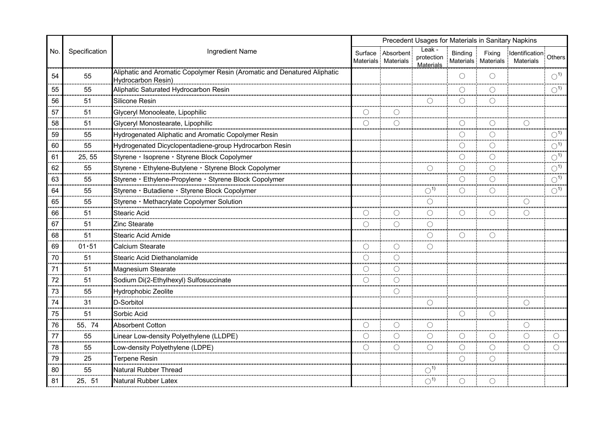|                |               |                                                                                                |                 |                                          | Precedent Usages for Materials in Sanitary Napkins |                 |            |                                                         |                          |
|----------------|---------------|------------------------------------------------------------------------------------------------|-----------------|------------------------------------------|----------------------------------------------------|-----------------|------------|---------------------------------------------------------|--------------------------|
| No.            | Specification | Ingredient Name                                                                                |                 | Surface Absorbent<br>Materials Materials | Leak -<br>protection<br>Materials                  | <b>Binding</b>  | Fixing     | Identification: Others<br>Materials Materials Materials |                          |
| 54             | 55            | Aliphatic and Aromatic Copolymer Resin (Aromatic and Denatured Aliphatic<br>Hydrocarbon Resin) |                 |                                          |                                                    | $\left(\right)$ | ∩          |                                                         | $\bigcirc$ <sup>1)</sup> |
| 55             | 55            | Aliphatic Saturated Hydrocarbon Resin                                                          |                 |                                          |                                                    | ∩               |            |                                                         | $\bigcirc$ <sup>1)</sup> |
| 56             | 51            | Silicone Resin                                                                                 |                 |                                          |                                                    | ( )             | $\bigcirc$ |                                                         |                          |
| 57             | 51            | Glyceryl Monooleate, Lipophilic                                                                |                 |                                          |                                                    |                 |            |                                                         |                          |
| 58             | 51            | Glyceryl Monostearate, Lipophilic                                                              | $\bigcirc$      | ∩                                        |                                                    |                 | $\bigcirc$ |                                                         |                          |
| 59             | 55            | Hydrogenated Aliphatic and Aromatic Copolymer Resin                                            |                 |                                          |                                                    |                 | ∩          |                                                         | $\bigcirc$ <sup>1)</sup> |
| 60             | 55            | Hydrogenated Dicyclopentadiene-group Hydrocarbon Resin                                         |                 |                                          |                                                    | O               | $\bigcirc$ |                                                         | $\bigcirc$ <sup>1)</sup> |
| 61<br>$\cdots$ | 25, 55        | Styrene · Isoprene · Styrene Block Copolymer                                                   |                 |                                          |                                                    |                 | ∩          |                                                         | $\bigcirc$ <sup>1)</sup> |
| 62             | 55            | Styrene · Ethylene-Butylene · Styrene Block Copolymer                                          |                 |                                          |                                                    | C               | $\bigcap$  |                                                         | $\bigcirc$ <sup>1)</sup> |
| 63             | 55            | Styrene · Ethylene-Propylene · Styrene Block Copolymer                                         |                 |                                          |                                                    | O               | ∩          |                                                         | $\bigcirc$ <sup>1)</sup> |
| 64             | 55            | Styrene · Butadiene · Styrene Block Copolymer                                                  |                 |                                          | $\bigcirc$ <sup>1)</sup>                           | ∩               | ∩          |                                                         | $\bigcirc$ <sup>1)</sup> |
| 65             | 55            | Styrene · Methacrylate Copolymer Solution                                                      |                 |                                          |                                                    |                 |            |                                                         |                          |
| 66             | 51            | Stearic Acid                                                                                   | $\bigcirc$      | О                                        | ∩                                                  | ∩               | $\bigcirc$ | O                                                       |                          |
| 67             | 51            | Zinc Stearate                                                                                  | $\left(\right)$ | ∩                                        |                                                    |                 |            |                                                         |                          |
| 68             | 51            | <b>Stearic Acid Amide</b>                                                                      |                 |                                          | ∩                                                  | $\bigcirc$      | $\bigcap$  |                                                         |                          |
| 69             | $01 - 51$     | Calcium Stearate                                                                               |                 | ⊖                                        |                                                    |                 |            |                                                         |                          |
| 70             | 51            | Stearic Acid Diethanolamide                                                                    | $\left(\right)$ | $\left(\ \right)$                        |                                                    |                 |            |                                                         |                          |
| 71             | 51            | Magnesium Stearate                                                                             | ◯<br>           | ⌒                                        |                                                    |                 |            |                                                         |                          |
| 72             | 51            | Sodium Di(2-Ethylhexyl) Sulfosuccinate                                                         | $\left(\right)$ | ()                                       |                                                    |                 |            |                                                         |                          |
| 73             | 55            | Hydrophobic Zeolite                                                                            |                 |                                          |                                                    |                 |            |                                                         |                          |
| 74             | 31            | D-Sorbitol                                                                                     |                 |                                          |                                                    |                 |            |                                                         |                          |
| 75             | 51            | Sorbic Acid                                                                                    |                 |                                          |                                                    |                 |            |                                                         |                          |
| 76             | 55, 74        | <b>Absorbent Cotton</b>                                                                        | $\bigcirc$      | $\bigcirc$                               | C                                                  |                 |            | $\bigcirc$                                              |                          |
| 77             | 55            | Linear Low-density Polyethylene (LLDPE)                                                        | ∩               |                                          |                                                    |                 | O          | $\bigcirc$                                              |                          |
| 78             | 55            | Low-density Polyethylene (LDPE)                                                                | ∩               | ∩                                        | $( \ )$                                            | $\bigcirc$      | $\bigcirc$ | ∩                                                       |                          |
| 79             | 25            | Terpene Resin                                                                                  |                 |                                          |                                                    | ⊖               | ∩          |                                                         |                          |
| 80             | 55            | Natural Rubber Thread                                                                          |                 |                                          | $\bigcirc$ <sup>1)</sup>                           |                 |            |                                                         |                          |
| 81             | 25, 51        | Natural Rubber Latex                                                                           |                 |                                          | $\bigcirc$ <sup>1)</sup>                           |                 | $\bigcirc$ |                                                         |                          |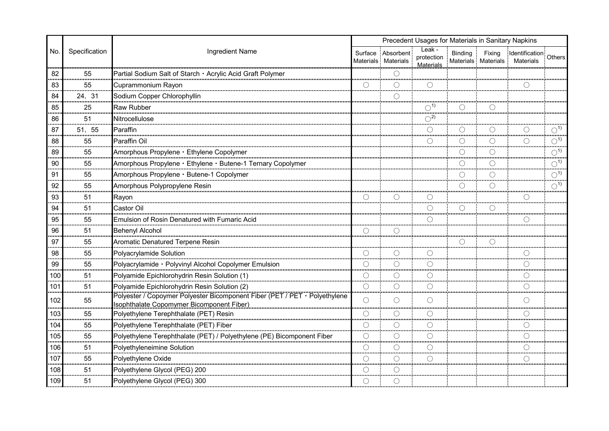|         |               |                                                                                                                         | Precedent Usages for Materials in Sanitary Napkins |                                          |                                          |            |        |                                                            |                          |
|---------|---------------|-------------------------------------------------------------------------------------------------------------------------|----------------------------------------------------|------------------------------------------|------------------------------------------|------------|--------|------------------------------------------------------------|--------------------------|
| No.     | Specification | Ingredient Name                                                                                                         |                                                    | Surface Absorbent<br>Materials Materials | Leak -<br>protection<br><b>Materials</b> | Binding    | Fixing | Identification: Others<br>Materials Materials Materials    |                          |
| 82      | 55            | Partial Sodium Salt of Starch · Acrylic Acid Graft Polymer                                                              |                                                    |                                          |                                          |            |        |                                                            |                          |
| 83      | 55            | Cuprammonium Rayon                                                                                                      | $\bigcap$                                          | $\bigcirc$                               | $\bigcirc$                               |            |        | ⊖                                                          |                          |
| 84      | 24, 31        | Sodium Copper Chlorophyllin                                                                                             |                                                    |                                          |                                          |            |        |                                                            |                          |
| 85      | 25            | Raw Rubber                                                                                                              |                                                    |                                          | $\bigcirc$ <sup>1)</sup>                 |            |        |                                                            |                          |
| 86<br>. | 51            | Nitrocellulose                                                                                                          |                                                    |                                          | $\bigcirc^2$                             |            |        |                                                            |                          |
| 87      | 51, 55        | Paraffin                                                                                                                |                                                    |                                          | ()                                       |            |        |                                                            | $\bigcirc$ <sup>1)</sup> |
| 88      | 55            | Paraffin Oil                                                                                                            |                                                    |                                          | ◯                                        | O          |        | ◯                                                          | $\bigcirc$ <sup>1)</sup> |
| 89      | 55            | Amorphous Propylene · Ethylene Copolymer                                                                                |                                                    |                                          |                                          | ∩          |        |                                                            | $\bigcirc$ <sup>1)</sup> |
| 90      | 55            | Amorphous Propylene · Ethylene · Butene-1 Ternary Copolymer                                                             |                                                    |                                          |                                          | О          |        |                                                            | $\bigcirc$ <sup>1)</sup> |
| 91      | 55            | Amorphous Propylene · Butene-1 Copolymer                                                                                |                                                    |                                          |                                          | $\bigcirc$ |        |                                                            | $\bigcirc$ <sup>1)</sup> |
| 92      | 55            | Amorphous Polypropylene Resin                                                                                           |                                                    |                                          |                                          | Ő          |        |                                                            | $\bigcirc$ <sup>1)</sup> |
| 93      | 51            | Rayon                                                                                                                   |                                                    | ⊖                                        |                                          |            |        |                                                            |                          |
| 94      | 51            | Castor Oil                                                                                                              |                                                    |                                          | ∩                                        | O          |        |                                                            |                          |
| 95      | 55            | Emulsion of Rosin Denatured with Fumaric Acid                                                                           |                                                    |                                          |                                          |            |        |                                                            |                          |
| 96<br>. | 51            | <b>Behenyl Alcohol</b>                                                                                                  | $\bigcirc$                                         | O                                        |                                          |            |        |                                                            |                          |
| 97      | 55            | Aromatic Denatured Terpene Resin                                                                                        |                                                    |                                          |                                          | О          |        |                                                            |                          |
| 98      | 55            | Polyacrylamide Solution                                                                                                 | $\bigcirc$                                         | $\left(\ \right)$                        |                                          |            |        | ()                                                         |                          |
| 99      | 55            | Polyacrylamide · Polyvinyl Alcohol Copolymer Emulsion                                                                   | $\bigcirc$                                         | О                                        | ∩                                        |            |        | $\left(\begin{smallmatrix} \ \ \ \end{smallmatrix}\right)$ |                          |
| 100     | 51            | Polyamide Epichlorohydrin Resin Solution (1)                                                                            | ∩                                                  |                                          |                                          |            |        |                                                            |                          |
| 101     | 51            | Polyamide Epichlorohydrin Resin Solution (2)                                                                            | O                                                  | O                                        |                                          |            |        |                                                            |                          |
| 102     | 55            | Polyester / Copoymer Polyester Bicomponent Fiber (PET / PET · Polyethylene<br>Isophthalate Copomymer Bicomponent Fiber) | $\bigcirc$                                         | ∩                                        | ∩                                        |            |        |                                                            |                          |
| 103     | 55            | Polyethylene Terephthalate (PET) Resin                                                                                  |                                                    | О                                        |                                          |            |        |                                                            |                          |
| 104     | 55            | Polyethylene Terephthalate (PET) Fiber                                                                                  | $\bigcirc$                                         | O                                        | O                                        |            |        | O                                                          |                          |
| 105     | 55            | Polyethylene Terephthalate (PET) / Polyethylene (PE) Bicomponent Fiber                                                  | $\bigcirc$                                         | ∩                                        |                                          |            |        | €                                                          |                          |
| 106     | 51            | Polyethyleneimine Solution                                                                                              | ∩                                                  | ∩                                        | ()                                       |            |        | ()                                                         |                          |
| 107     | 55            | Polyethylene Oxide                                                                                                      | $\bigcirc$                                         | ∩                                        |                                          |            |        | ()                                                         |                          |
| 108     | 51            | Polyethylene Glycol (PEG) 200                                                                                           |                                                    |                                          |                                          |            |        |                                                            |                          |
| 109     | 51            | Polyethylene Glycol (PEG) 300                                                                                           | $\bigcirc$                                         | ⊖                                        |                                          |            |        |                                                            |                          |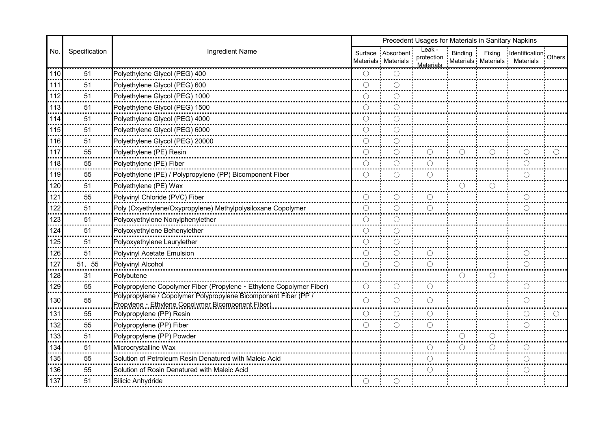|         |               | Precedent Usages for Materials in Sanitary Napkins                                                                   |            |                                          |                                   |            |        |                                                            |  |
|---------|---------------|----------------------------------------------------------------------------------------------------------------------|------------|------------------------------------------|-----------------------------------|------------|--------|------------------------------------------------------------|--|
| No.     | Specification | Ingredient Name                                                                                                      |            | Surface Absorbent<br>Materials Materials | Leak -<br>protection<br>Materials | Binding    | Fixing | Identification: Others<br>Materials Materials Materials    |  |
| 110     | 51            | Polyethylene Glycol (PEG) 400                                                                                        |            |                                          |                                   |            |        |                                                            |  |
| 111     | 51            | Polyethylene Glycol (PEG) 600                                                                                        | ∩          |                                          |                                   |            |        |                                                            |  |
| 112     | 51            | Polyethylene Glycol (PEG) 1000                                                                                       |            |                                          |                                   |            |        |                                                            |  |
| 113     | 51            | Polyethylene Glycol (PEG) 1500                                                                                       | ∩          | O                                        |                                   |            |        |                                                            |  |
| 114<br> | 51            | Polyethylene Glycol (PEG) 4000                                                                                       | $\bigcap$  | ∩                                        |                                   |            |        |                                                            |  |
| 115     | 51            | Polyethylene Glycol (PEG) 6000                                                                                       | $\bigcirc$ | ◯                                        |                                   |            |        |                                                            |  |
| 116     | 51            | Polyethylene Glycol (PEG) 20000                                                                                      | $\bigcirc$ | ∩                                        |                                   |            |        |                                                            |  |
| 117     | 55            | Polyethylene (PE) Resin                                                                                              | $\bigcap$  | ∩                                        |                                   | $\bigcirc$ | ∩      |                                                            |  |
| 118     | 55            | Polyethylene (PE) Fiber                                                                                              | $\bigcirc$ | ∩                                        | ◯                                 |            |        | $\left(\ \right)$                                          |  |
| 119     | 55            | Polyethylene (PE) / Polypropylene (PP) Bicomponent Fiber                                                             | $\bigcirc$ | $\bigcirc$                               | $\bigcirc$                        |            |        | ∩                                                          |  |
| 120     | 51            | Polyethylene (PE) Wax                                                                                                |            |                                          |                                   | O          |        |                                                            |  |
| 121<br> | 55            | Polyvinyl Chloride (PVC) Fiber                                                                                       | ∩          | ∩<br>                                    |                                   |            |        |                                                            |  |
| 122     | 51            | Poly (Oxyethylene/Oxypropylene) Methylpolysiloxane Copolymer                                                         | ∩          | O                                        | ∩                                 |            |        | ∩                                                          |  |
| 123     | 51            | Polyoxyethylene Nonylphenylether                                                                                     |            | ∩                                        |                                   |            |        |                                                            |  |
| 124<br> | 51            | Polyoxyethylene Behenylether                                                                                         | $\bigcirc$ | ∩                                        |                                   |            |        |                                                            |  |
| 125     | 51            | Polyoxyethylene Laurylether                                                                                          | ∩          |                                          |                                   |            |        |                                                            |  |
| 126     | 51            | Polyvinyl Acetate Emulsion                                                                                           | ∩          | O                                        | ()                                |            |        | $\left(\ \right)$                                          |  |
| 127     | 51, 55        | Polyvinyl Alcohol                                                                                                    | $\bigcirc$ | ◯                                        |                                   |            |        | $\left(\begin{smallmatrix} \ \ \ \end{smallmatrix}\right)$ |  |
| 128     | 31            | Polybutene                                                                                                           |            |                                          |                                   |            |        |                                                            |  |
| 129     | 55            | Polypropylene Copolymer Fiber (Propylene · Ethylene Copolymer Fiber)                                                 | O          |                                          |                                   |            |        |                                                            |  |
| 130     | 55            | Polypropylene / Copolymer Polypropylene Bicomponent Fiber (PP /<br>Propylene · Ethylene Copolymer Bicomponent Fiber) | $\bigcirc$ | ∩                                        | ∩                                 |            |        |                                                            |  |
| 131     | 55            | Polypropylene (PP) Resin                                                                                             |            | ()                                       |                                   |            |        |                                                            |  |
| 132     | 55            | Polypropylene (PP) Fiber                                                                                             | $\bigcirc$ | О                                        | О                                 |            |        | O                                                          |  |
| 133     | 51            | Polypropylene (PP) Powder                                                                                            |            |                                          |                                   | О          |        |                                                            |  |
| 134     | 51            | Microcrystalline Wax                                                                                                 |            |                                          |                                   | ()         |        |                                                            |  |
| 135     | 55            | Solution of Petroleum Resin Denatured with Maleic Acid                                                               |            |                                          |                                   |            |        | ()                                                         |  |
| 136     | 55            | Solution of Rosin Denatured with Maleic Acid                                                                         |            |                                          |                                   |            |        |                                                            |  |
| 137     | 51            | Silicic Anhydride                                                                                                    | $\bigcirc$ | ⊖                                        |                                   |            |        |                                                            |  |